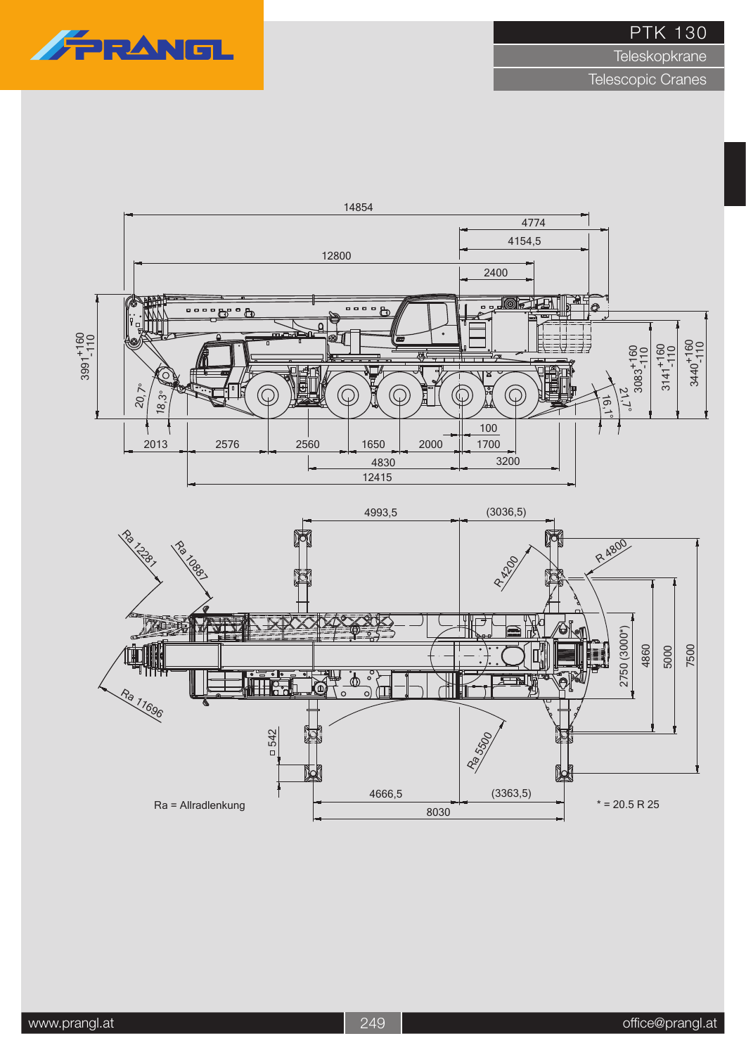

**Teleskopkrane** 

Telescopic Cranes

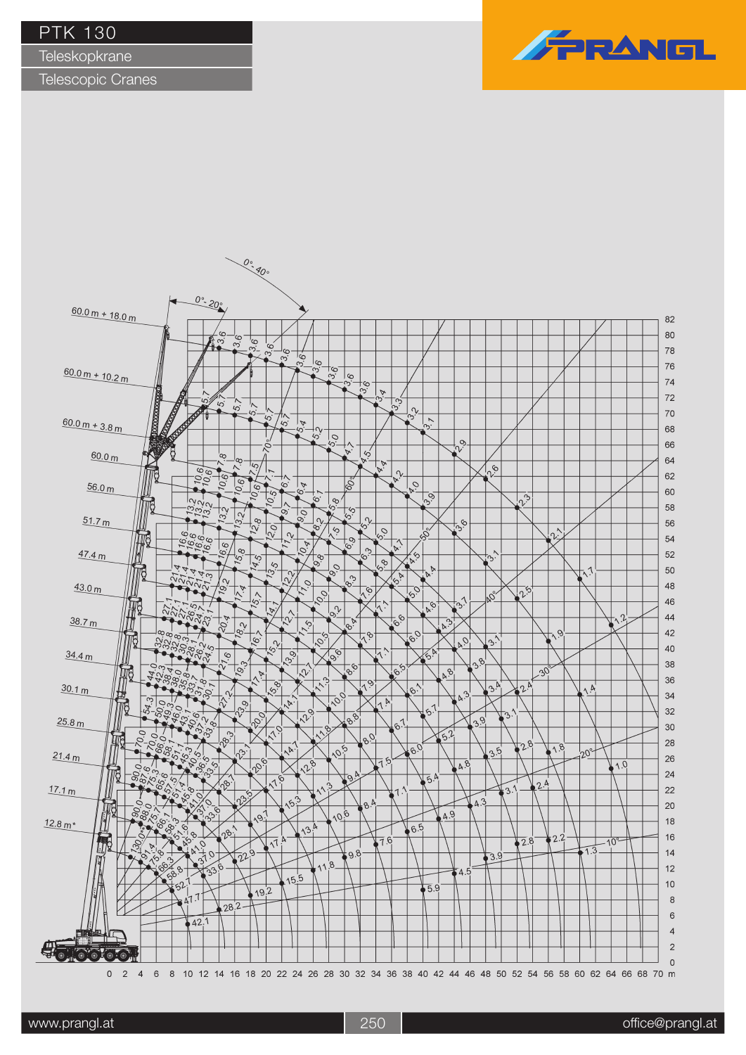**Teleskopkrane** 

Telescopic Cranes



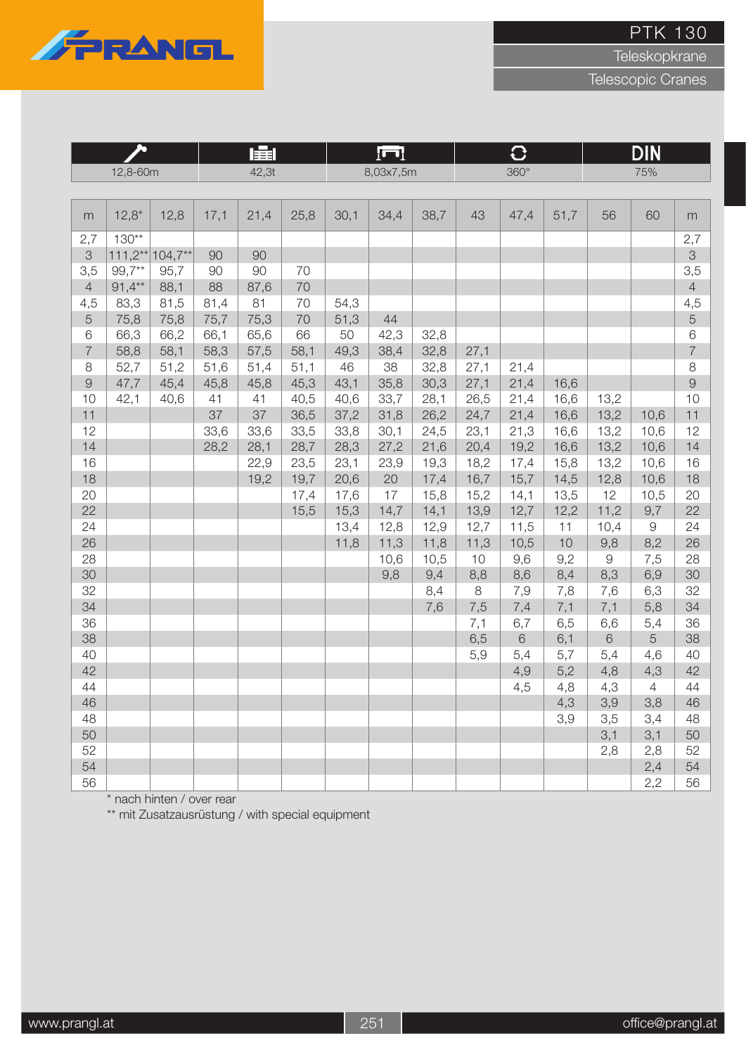

**Teleskopkrane** 

Telescopic Cranes

|                |           |           | 肁l   |       |      | kuma k |           |      | $\bf C$ |             |      | <b>DIN</b> |                |                |  |  |
|----------------|-----------|-----------|------|-------|------|--------|-----------|------|---------|-------------|------|------------|----------------|----------------|--|--|
| 12,8-60m       |           |           |      | 42,3t |      |        | 8,03x7,5m |      |         | $360^\circ$ |      |            | 75%            |                |  |  |
|                |           |           |      |       |      |        |           |      |         |             |      |            |                |                |  |  |
| m              | $12,8^*$  | 12,8      | 17,1 | 21,4  | 25,8 | 30,1   | 34,4      | 38,7 | 43      | 47,4        | 51,7 | 56         | 60             | m              |  |  |
| 2,7            | $130**$   |           |      |       |      |        |           |      |         |             |      |            |                | 2,7            |  |  |
| $\mbox{3}$     | $111,2**$ | $104,7**$ | 90   | 90    |      |        |           |      |         |             |      |            |                | 3              |  |  |
| 3,5            | 99,7**    | 95,7      | 90   | 90    | 70   |        |           |      |         |             |      |            |                | 3,5            |  |  |
| $\overline{4}$ | $91,4**$  | 88,1      | 88   | 87,6  | 70   |        |           |      |         |             |      |            |                | $\overline{4}$ |  |  |
| 4,5            | 83,3      | 81,5      | 81,4 | 81    | 70   | 54,3   |           |      |         |             |      |            |                | 4,5            |  |  |
| 5              | 75,8      | 75,8      | 75,7 | 75,3  | 70   | 51,3   | 44        |      |         |             |      |            |                | $\sqrt{5}$     |  |  |
| 6              | 66,3      | 66,2      | 66,1 | 65,6  | 66   | 50     | 42,3      | 32,8 |         |             |      |            |                | $\,6$          |  |  |
| $\overline{7}$ | 58,8      | 58,1      | 58,3 | 57,5  | 58,1 | 49,3   | 38,4      | 32,8 | 27,1    |             |      |            |                | $\overline{7}$ |  |  |
| 8              | 52,7      | 51,2      | 51,6 | 51,4  | 51,1 | 46     | 38        | 32,8 | 27,1    | 21,4        |      |            |                | $\,8\,$        |  |  |
| $\Theta$       | 47,7      | 45,4      | 45,8 | 45,8  | 45,3 | 43,1   | 35,8      | 30,3 | 27,1    | 21,4        | 16,6 |            |                | $\Theta$       |  |  |
| 10             | 42,1      | 40,6      | 41   | 41    | 40,5 | 40,6   | 33,7      | 28,1 | 26,5    | 21,4        | 16,6 | 13,2       |                | 10             |  |  |
| 11             |           |           | 37   | 37    | 36,5 | 37,2   | 31,8      | 26,2 | 24,7    | 21,4        | 16,6 | 13,2       | 10,6           | 11             |  |  |
| 12             |           |           | 33,6 | 33,6  | 33,5 | 33,8   | 30,1      | 24,5 | 23,1    | 21,3        | 16,6 | 13,2       | 10,6           | 12             |  |  |
| 14             |           |           | 28,2 | 28,1  | 28,7 | 28,3   | 27,2      | 21,6 | 20,4    | 19,2        | 16,6 | 13,2       | 10,6           | 14             |  |  |
| 16             |           |           |      | 22,9  | 23,5 | 23,1   | 23,9      | 19,3 | 18,2    | 17,4        | 15,8 | 13,2       | 10,6           | 16             |  |  |
| 18             |           |           |      | 19,2  | 19,7 | 20,6   | 20        | 17,4 | 16,7    | 15,7        | 14,5 | 12,8       | 10,6           | 18             |  |  |
| 20             |           |           |      |       | 17,4 | 17,6   | 17        | 15,8 | 15,2    | 14,1        | 13,5 | 12         | 10,5           | 20             |  |  |
| 22             |           |           |      |       | 15,5 | 15,3   | 14,7      | 14,1 | 13,9    | 12,7        | 12,2 | 11,2       | 9,7            | 22             |  |  |
| 24             |           |           |      |       |      | 13,4   | 12,8      | 12,9 | 12,7    | 11,5        | 11   | 10,4       | $\hbox{9}$     | 24             |  |  |
| 26             |           |           |      |       |      | 11,8   | 11,3      | 11,8 | 11,3    | 10,5        | 10   | 9,8        | 8,2            | 26             |  |  |
| 28             |           |           |      |       |      |        | 10,6      | 10,5 | 10      | 9,6         | 9,2  | $\Theta$   | 7,5            | 28             |  |  |
| 30             |           |           |      |       |      |        | 9,8       | 9,4  | 8,8     | 8,6         | 8,4  | 8,3        | 6,9            | 30             |  |  |
| 32             |           |           |      |       |      |        |           | 8,4  | $\,8\,$ | 7,9         | 7,8  | 7,6        | 6,3            | 32             |  |  |
| 34             |           |           |      |       |      |        |           | 7,6  | 7,5     | 7,4         | 7,1  | 7,1        | 5,8            | 34             |  |  |
| 36             |           |           |      |       |      |        |           |      | 7,1     | 6,7         | 6,5  | 6,6        | 5,4            | 36             |  |  |
| 38<br>40       |           |           |      |       |      |        |           |      | 6,5     | $6\,$       | 6,1  | 6          | 5              | 38             |  |  |
|                |           |           |      |       |      |        |           |      | 5,9     | 5,4         | 5,7  | 5,4        | 4,6            | 40             |  |  |
| 42             |           |           |      |       |      |        |           |      |         | 4,9         | 5,2  | 4,8        | 4,3            | 42             |  |  |
| 44             |           |           |      |       |      |        |           |      |         | 4,5         | 4,8  | 4,3        | $\overline{4}$ | 44             |  |  |
| 46             |           |           |      |       |      |        |           |      |         |             | 4,3  | 3,9        | 3,8            | 46             |  |  |
| 48<br>50       |           |           |      |       |      |        |           |      |         |             | 3,9  | 3,5        | 3,4            | 48             |  |  |
| 52             |           |           |      |       |      |        |           |      |         |             |      | 3,1        | 3,1            | 50<br>52       |  |  |
| 54             |           |           |      |       |      |        |           |      |         |             |      | 2,8        | 2,8<br>2,4     | 54             |  |  |
| 56             |           |           |      |       |      |        |           |      |         |             |      |            |                |                |  |  |
|                |           |           |      |       |      |        |           |      |         |             |      |            | 2,2            | 56             |  |  |

therefore hanging in act over rear

\*\* mit Zusatzausrüstung / with special equipment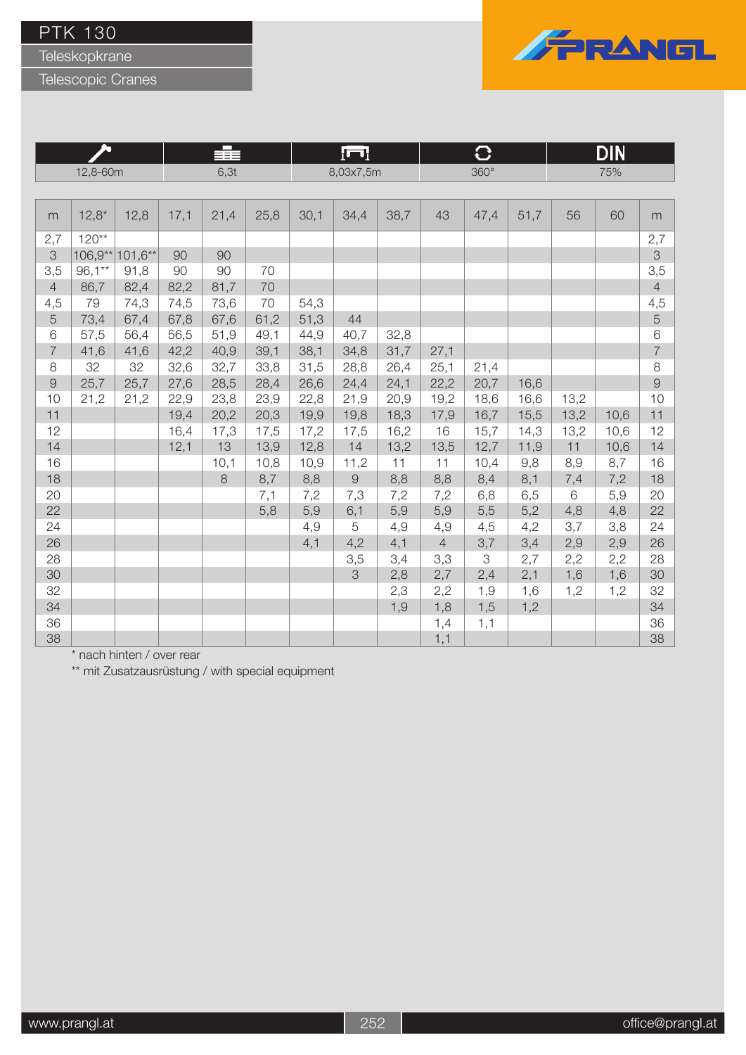**Teleskopkrane** 

Telescopic Cranes



|                |           |           |      | ≣≣≣     |      |      | $\bm{\Pi}$ |      |                | O                         |      |      | DIN  |                |
|----------------|-----------|-----------|------|---------|------|------|------------|------|----------------|---------------------------|------|------|------|----------------|
|                | 12,8-60m  |           |      | 6,3t    |      |      | 8,03x7,5m  |      |                | $360^\circ$               |      |      | 75%  |                |
|                |           |           |      |         |      |      |            |      |                |                           |      |      |      |                |
| m              | $12,8*$   | 12,8      | 17,1 | 21,4    | 25,8 | 30,1 | 34,4       | 38,7 | 43             | 47,4                      | 51,7 | 56   | 60   | m              |
| 2,7            | $120**$   |           |      |         |      |      |            |      |                |                           |      |      |      | 2,7            |
| 3              | $106.9**$ | $101,6**$ | 90   | 90      |      |      |            |      |                |                           |      |      |      | 3              |
| 3,5            | $96,1**$  | 91,8      | 90   | 90      | 70   |      |            |      |                |                           |      |      |      | 3,5            |
| $\overline{4}$ | 86,7      | 82,4      | 82,2 | 81,7    | 70   |      |            |      |                |                           |      |      |      | $\overline{4}$ |
| 4,5            | 79        | 74,3      | 74,5 | 73,6    | 70   | 54,3 |            |      |                |                           |      |      |      | 4,5            |
| $\overline{5}$ | 73,4      | 67,4      | 67,8 | 67,6    | 61,2 | 51,3 | 44         |      |                |                           |      |      |      | 5              |
| 6              | 57,5      | 56,4      | 56,5 | 51,9    | 49,1 | 44,9 | 40,7       | 32,8 |                |                           |      |      |      | $\,6\,$        |
| $\overline{7}$ | 41,6      | 41,6      | 42,2 | 40,9    | 39,1 | 38,1 | 34,8       | 31,7 | 27,1           |                           |      |      |      | $\overline{7}$ |
| 8              | 32        | 32        | 32,6 | 32,7    | 33,8 | 31,5 | 28,8       | 26,4 | 25,1           | 21,4                      |      |      |      | $\,8\,$        |
| $\Theta$       | 25,7      | 25,7      | 27,6 | 28,5    | 28,4 | 26,6 | 24,4       | 24,1 | 22,2           | 20,7                      | 16,6 |      |      | $\Theta$       |
| 10             | 21,2      | 21,2      | 22,9 | 23,8    | 23,9 | 22,8 | 21,9       | 20,9 | 19,2           | 18,6                      | 16,6 | 13,2 |      | 10             |
| 11             |           |           | 19,4 | 20,2    | 20,3 | 19,9 | 19,8       | 18,3 | 17,9           | 16,7                      | 15,5 | 13,2 | 10,6 | 11             |
| 12             |           |           | 16,4 | 17,3    | 17,5 | 17,2 | 17,5       | 16,2 | 16             | 15,7                      | 14,3 | 13,2 | 10,6 | 12             |
| 14             |           |           | 12,1 | 13      | 13,9 | 12,8 | 14         | 13,2 | 13,5           | 12,7                      | 11,9 | 11   | 10,6 | 14             |
| 16             |           |           |      | 10,1    | 10,8 | 10,9 | 11,2       | 11   | 11             | 10,4                      | 9,8  | 8,9  | 8,7  | 16             |
| 18             |           |           |      | $\,8\,$ | 8,7  | 8,8  | $\hbox{9}$ | 8,8  | 8,8            | 8,4                       | 8,1  | 7,4  | 7,2  | 18             |
| 20             |           |           |      |         | 7,1  | 7,2  | 7,3        | 7,2  | 7,2            | 6,8                       | 6,5  | 6    | 5,9  | 20             |
| 22             |           |           |      |         | 5,8  | 5,9  | 6,1        | 5,9  | 5,9            | 5,5                       | 5,2  | 4,8  | 4,8  | 22             |
| 24             |           |           |      |         |      | 4,9  | 5          | 4,9  | 4,9            | 4,5                       | 4,2  | 3,7  | 3,8  | 24             |
| 26             |           |           |      |         |      | 4,1  | 4,2        | 4,1  | $\overline{4}$ | 3,7                       | 3,4  | 2,9  | 2,9  | 26             |
| 28             |           |           |      |         |      |      | 3,5        | 3,4  | 3,3            | $\ensuremath{\mathsf{3}}$ | 2,7  | 2,2  | 2,2  | 28             |
| 30             |           |           |      |         |      |      | 3          | 2,8  | 2,7            | 2,4                       | 2,1  | 1,6  | 1,6  | 30             |
| 32             |           |           |      |         |      |      |            | 2,3  | 2,2            | 1,9                       | 1,6  | 1,2  | 1,2  | 32             |
| 34             |           |           |      |         |      |      |            | 1,9  | 1,8            | 1,5                       | 1,2  |      |      | 34             |
| 36             |           |           |      |         |      |      |            |      | 1,4            | 1,1                       |      |      |      | 36             |
| 38             |           |           |      |         |      |      |            |      | 1,1            |                           |      |      |      | 38             |

\* nach hinten / over rear

\*\* mit Zusatzausrüstung / with special equipment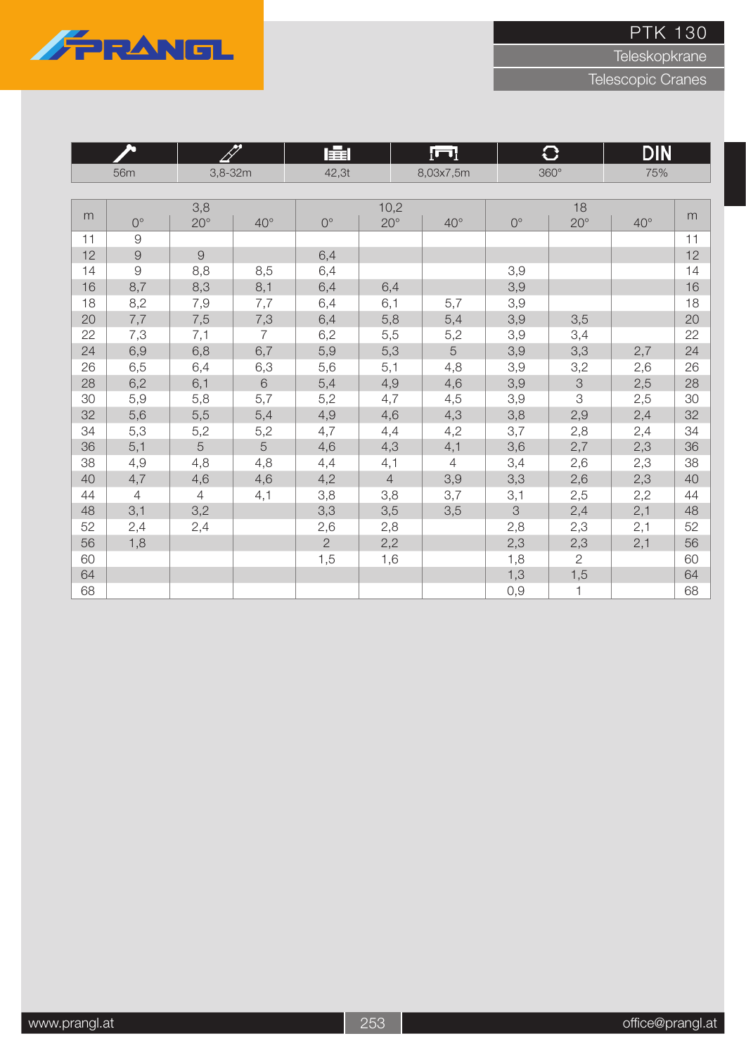# FRANCL

## PTK 130

Teleskopkrane

Telescopic Cranes

|    | 勉              |                |              | 肁l             |                | lod            |             | $\overline{C}$ |            | <b>DIN</b> |  |
|----|----------------|----------------|--------------|----------------|----------------|----------------|-------------|----------------|------------|------------|--|
|    | 56m            | 3,8-32m        |              | 42,3t          |                | 8,03x7,5m      |             | $360^\circ$    | 75%        |            |  |
|    |                |                |              |                |                |                |             |                |            |            |  |
|    |                | 3,8            |              |                | 10,2           |                |             | 18             |            |            |  |
| m  | $0^{\circ}$    | $20^{\circ}$   | $40^{\circ}$ | $0^{\circ}$    | $20^{\circ}$   | $40^\circ$     | $0^{\circ}$ | $20^{\circ}$   | $40^\circ$ | m          |  |
| 11 | $\Theta$       |                |              |                |                |                |             |                |            | 11         |  |
| 12 | $\hbox{9}$     | $\overline{9}$ |              | 6,4            |                |                |             |                |            | 12         |  |
| 14 | $\mathcal{G}$  | 8,8            | 8,5          | 6,4            |                |                | 3,9         |                |            | 14         |  |
| 16 | 8,7            | 8,3            | 8,1          | 6,4            | 6,4            |                | 3,9         |                |            | 16         |  |
| 18 | 8,2            | 7,9            | 7,7          | 6,4            | 6,1            | 5,7            | 3,9         |                |            | 18         |  |
| 20 | 7,7            | 7,5            | 7,3          | 6,4            | 5,8            | 5,4            | 3,9         | 3,5            |            | 20         |  |
| 22 | 7,3            | 7,1            | 7            | 6,2            | 5,5            | 5,2            | 3,9         | 3,4            |            | 22         |  |
| 24 | 6,9            | 6,8            | 6,7          | 5,9            | 5,3            | 5              | 3,9         | 3,3            | 2,7        | 24         |  |
| 26 | 6,5            | 6,4            | 6,3          | 5,6            | 5,1            | 4,8            | 3,9         | 3,2            | 2,6        | 26         |  |
| 28 | 6,2            | 6,1            | 6            | 5,4            | 4,9            | 4,6            | 3,9         | 3              | 2,5        | 28         |  |
| 30 | 5,9            | 5,8            | 5,7          | 5,2            | 4,7            | 4,5            | 3,9         | 3              | 2,5        | 30         |  |
| 32 | 5,6            | 5,5            | 5,4          | 4,9            | 4,6            | 4,3            | 3,8         | 2,9            | 2,4        | 32         |  |
| 34 | 5,3            | 5,2            | 5,2          | 4,7            | 4,4            | 4,2            | 3,7         | 2,8            | 2,4        | 34         |  |
| 36 | 5,1            | 5              | 5            | 4,6            | 4,3            | 4,1            | 3,6         | 2,7            | 2,3        | 36         |  |
| 38 | 4,9            | 4,8            | 4,8          | 4,4            | 4,1            | $\overline{4}$ | 3,4         | 2,6            | 2,3        | 38         |  |
| 40 | 4,7            | 4,6            | 4,6          | 4,2            | $\overline{4}$ | 3,9            | 3,3         | 2,6            | 2,3        | 40         |  |
| 44 | $\overline{4}$ | $\overline{4}$ | 4,1          | 3,8            | 3,8            | 3,7            | 3,1         | 2,5            | 2,2        | 44         |  |
| 48 | 3,1            | 3,2            |              | 3,3            | 3,5            | 3,5            | 3           | 2,4            | 2,1        | 48         |  |
| 52 | 2,4            | 2,4            |              | 2,6            | 2,8            |                | 2,8         | 2,3            | 2,1        | 52         |  |
| 56 | 1,8            |                |              | $\overline{2}$ | 2,2            |                | 2,3         | 2,3            | 2,1        | 56         |  |
| 60 |                |                |              | 1,5            | 1,6            |                | 1,8         | $\overline{2}$ |            | 60         |  |
| 64 |                |                |              |                |                |                | 1,3         | 1,5            |            | 64         |  |
| 68 |                |                |              |                |                |                | 0,9         | 1              |            | 68         |  |